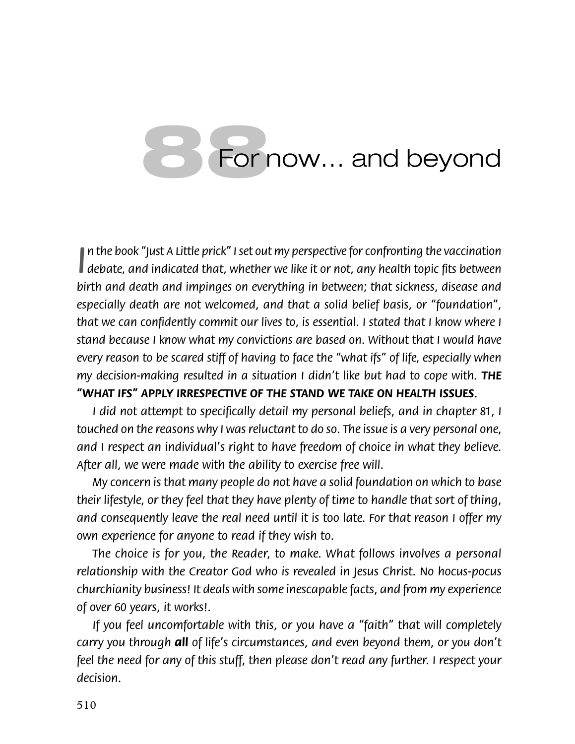## **88**For now… and beyond

*∣ debate, and indicated that, whether we like it or not, any health topic fits between debate, and indicated that, whether we like it or not, any health topic fits between n the book "Just A Little prick" I set out my perspective for confronting the vaccination birth and death and impinges on everything in between; that sickness, disease and especially death are not welcomed, and that a solid belief basis, or "foundation",*  that we can confidently commit our lives to, is essential. I stated that I know where I *stand because I know what my convictions are based on. Without that I would have every reason to be scared stiff of having to face the "what ifs" of life, especially when my decision-making resulted in a situation I didn't like but had to cope with.* THE *"WHAT IFS" APPLY IRRESPECTIVE OF THE STAND WE TAKE ON HEALTH ISSUES.*

*I did not attempt to specifically detail my personal beliefs, and in chapter 81, I touched on the reasons why I was reluctant to do so. The issue is a very personal one, and I respect an individual's right to have freedom of choice in what they believe. After all, we were made with the ability to exercise free will.*

*My concern is that many people do not have a solid foundation on which to base their lifestyle, or they feel that they have plenty of time to handle that sort of thing, and consequently leave the real need until it is too late. For that reason I offer my own experience for anyone to read if they wish to.*

*The choice is for you, the Reader, to make. What follows involves a personal relationship with the Creator God who is revealed in Jesus Christ. No hocus-pocus churchianity business! It deals with some inescapable facts, and from my experience of over 60 years, it works!.*

*If you feel uncomfortable with this, or you have a "faith" that will completely carry you through all of life's circumstances, and even beyond them, or you don't feel the need for any of this stuff, then please don't read any further. I respect your decision.*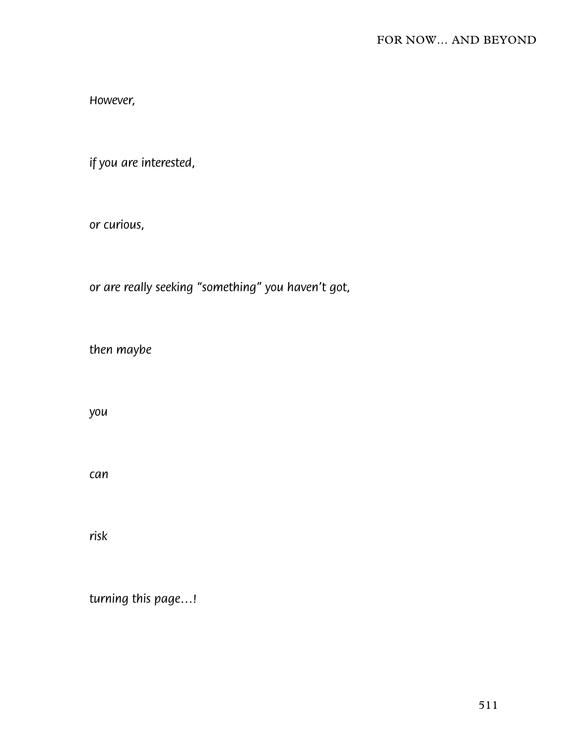However,

if you are interested,

or curious,

or are really seeking "something" you haven't got,

then maybe

you

can

risk

turning this page...!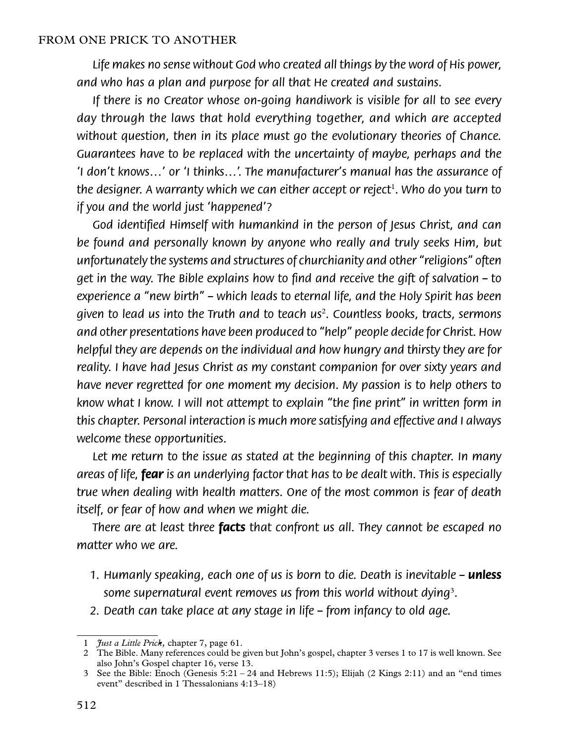*Life makes no sense without God who created all things by the word of His power, and who has a plan and purpose for all that He created and sustains.*

*If there is no Creator whose on-going handiwork is visible for all to see every day through the laws that hold everything together, and which are accepted without question, then in its place must go the evolutionary theories of Chance. Guarantees have to be replaced with the uncertainty of maybe, perhaps and the 'I don't knows…' or 'I thinks…'. The manufacturer's manual has the assurance of the designer. A warranty which we can either accept or reject*<sup>1</sup> *. Who do you turn to if you and the world just 'happened'?*

God identified Himself with humankind in the person of Jesus Christ, and can *be found and personally known by anyone who really and truly seeks Him, but unfortunately the systems and structures of churchianity and other "religions" often get in the way. The Bible explains how to find and receive the gift of salvation – to experience a "new birth" – which leads to eternal life, and the Holy Spirit has been given to lead us into the Truth and to teach us*<sup>2</sup> *. Countless books, tracts, sermons and other presentations have been produced to "help" people decide for Christ. How helpful they are depends on the individual and how hungry and thirsty they are for reality. I have had Jesus Christ as my constant companion for over sixty years and have never regretted for one moment my decision. My passion is to help others to*  know what I know. I will not attempt to explain "the fine print" in written form in *this chapter. Personal interaction is much more satisfying and effective and I always welcome these opportunities.*

Let me return to the issue as stated at the beginning of this chapter. In many *areas of life, fear is an underlying factor that has to be dealt with. This is especially true when dealing with health matters. One of the most common is fear of death itself, or fear of how and when we might die.*

*There are at least three facts that confront us all. They cannot be escaped no matter who we are.*

- 1. Humanly speaking, each one of us is born to die. Death is inevitable **unless** *some supernatural event removes us from this world without dying*<sup>3</sup> *.*
- *2. Death can take place at any stage in life from infancy to old age.*

<sup>1</sup> *Just a Little Prick,* chapter 7, page 61.

<sup>2</sup> The Bible. Many references could be given but John's gospel, chapter 3 verses 1 to 17 is well known. See also John's Gospel chapter 16, verse 13.

<sup>3</sup> See the Bible: Enoch (Genesis 5:21 – 24 and Hebrews 11:5); Elijah (2 Kings 2:11) and an "end times event" described in 1 Thessalonians 4:13–18)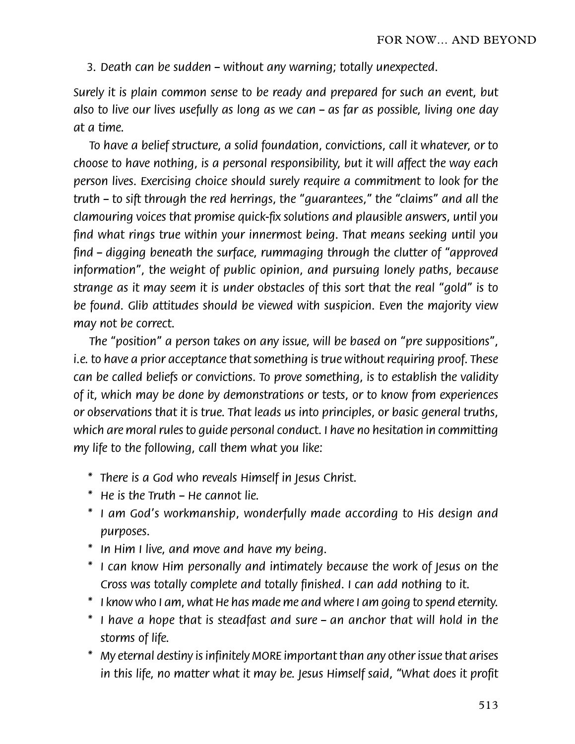*3. Death can be sudden – without any warning; totally unexpected.*

*Surely it is plain common sense to be ready and prepared for such an event, but also to live our lives usefully as long as we can – as far as possible, living one day at a time.*

*To have a belief structure, a solid foundation, convictions, call it whatever, or to choose to have nothing, is a personal responsibility, but it will affect the way each person lives. Exercising choice should surely require a commitment to look for the truth – to sift through the red herrings, the "guarantees," the "claims" and all the clamouring voices that promise quick-fix solutions and plausible answers, until you* find what rings true within your innermost being. That means seeking until you find – digging beneath the surface, rummaging through the clutter of "approved" *information", the weight of public opinion, and pursuing lonely paths, because strange as it may seem it is under obstacles of this sort that the real "gold" is to be found. Glib attitudes should be viewed with suspicion. Even the majority view may not be correct.*

*The "position" a person takes on any issue, will be based on "pre suppositions", i.e. to have a prior acceptance that something is true without requiring proof. These can be called beliefs or convictions. To prove something, is to establish the validity of it, which may be done by demonstrations or tests, or to know from experiences or observations that it is true. That leads us into principles, or basic general truths, which are moral rules to guide personal conduct. I have no hesitation in committing my life to the following, call them what you like:*

- *\* There is a God who reveals Himself in Jesus Christ.*
- *\* He is the Truth He cannot lie.*
- *\* I am God's workmanship, wonderfully made according to His design and purposes.*
- *\* In Him I live, and move and have my being.*
- *\* I can know Him personally and intimately because the work of Jesus on the Cross was totally complete and totally finished. I can add nothing to it.*
- *\* I know who I am, what He has made me and where I am going to spend eternity.*
- *\* I have a hope that is steadfast and sure an anchor that will hold in the storms of life.*
- *\* My eternal destiny is infinitely MORE important than any other issue that arises in this life, no matter what it may be. Jesus Himself said, "What does it profit*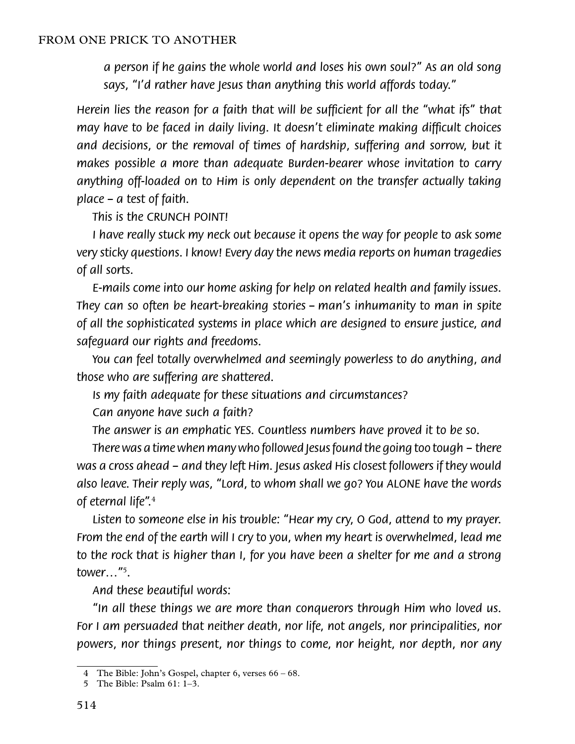*a person if he gains the whole world and loses his own soul?" As an old song says, "I'd rather have Jesus than anything this world affords today."*

*Herein lies the reason for a faith that will be sufficient for all the "what ifs" that may have to be faced in daily living. It doesn't eliminate making difficult choices* and decisions, or the removal of times of hardship, suffering and sorrow, but it *makes possible a more than adequate Burden-bearer whose invitation to carry anything off-loaded on to Him is only dependent on the transfer actually taking place – a test of faith.*

*This is the CRUNCH POINT!*

*I* have really stuck my neck out because it opens the way for people to ask some *very sticky questions. I know! Every day the news media reports on human tragedies of all sorts.*

*E-mails come into our home asking for help on related health and family issues. They can so often be heart-breaking stories – man's inhumanity to man in spite of all the sophisticated systems in place which are designed to ensure justice, and safeguard our rights and freedoms.*

*You can feel totally overwhelmed and seemingly powerless to do anything, and those who are suffering are shattered.*

*Is my faith adequate for these situations and circumstances?*

*Can anyone have such a faith?*

*The answer is an emphatic YES. Countless numbers have proved it to be so.*

*There was a time when many who followed Jesus found the going too tough – there was a cross ahead – and they left Him. Jesus asked His closest followers if they would also leave. Their reply was, "Lord, to whom shall we go? You ALONE have the words of eternal life".*<sup>4</sup>

*Listen to someone else in his trouble: "Hear my cry, O God, attend to my prayer. From the end of the earth will I cry to you, when my heart is overwhelmed, lead me to the rock that is higher than I, for you have been a shelter for me and a strong tower…"*<sup>5</sup> *.*

*And these beautiful words:*

*"In all these things we are more than conquerors through Him who loved us. For I am persuaded that neither death, nor life, not angels, nor principalities, nor powers, nor things present, nor things to come, nor height, nor depth, nor any* 

<sup>4</sup> The Bible: John's Gospel, chapter 6, verses 66 – 68.

<sup>5</sup> The Bible: Psalm 61: 1–3.